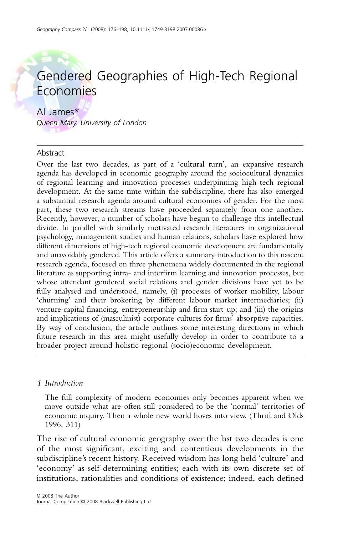# Gendered Geographies of High-Tech Regional **Economies**

# Al James\*

*Queen Mary, University of London*

#### Abstract

Over the last two decades, as part of a 'cultural turn', an expansive research agenda has developed in economic geography around the sociocultural dynamics of regional learning and innovation processes underpinning high-tech regional development. At the same time within the subdiscipline, there has also emerged a substantial research agenda around cultural economies of gender. For the most part, these two research streams have proceeded separately from one another. Recently, however, a number of scholars have begun to challenge this intellectual divide. In parallel with similarly motivated research literatures in organizational psychology, management studies and human relations, scholars have explored how different dimensions of high-tech regional economic development are fundamentally and unavoidably gendered. This article offers a summary introduction to this nascent research agenda, focused on three phenomena widely documented in the regional literature as supporting intra- and interfirm learning and innovation processes, but whose attendant gendered social relations and gender divisions have yet to be fully analysed and understood, namely, (i) processes of worker mobility, labour 'churning' and their brokering by different labour market intermediaries; (ii) venture capital financing, entrepreneurship and firm start-up; and (iii) the origins and implications of (masculinist) corporate cultures for firms' absorptive capacities. By way of conclusion, the article outlines some interesting directions in which future research in this area might usefully develop in order to contribute to a broader project around holistic regional (socio)economic development.

### *1 Introduction*

The full complexity of modern economies only becomes apparent when we move outside what are often still considered to be the 'normal' territories of economic inquiry. Then a whole new world hoves into view. (Thrift and Olds 1996, 311)

The rise of cultural economic geography over the last two decades is one of the most significant, exciting and contentious developments in the subdiscipline's recent history. Received wisdom has long held 'culture' and 'economy' as self-determining entities; each with its own discrete set of institutions, rationalities and conditions of existence; indeed, each defined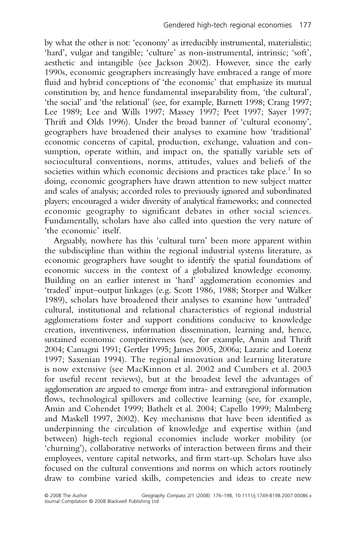by what the other is not: 'economy' as irreducibly instrumental, materialistic; 'hard', vulgar and tangible; 'culture' as non-instrumental, intrinsic; 'soft', aesthetic and intangible (see Jackson 2002). However, since the early 1990s, economic geographers increasingly have embraced a range of more fluid and hybrid conceptions of 'the economic' that emphasize its mutual constitution by, and hence fundamental inseparability from, 'the cultural', 'the social' and 'the relational' (see, for example, Barnett 1998; Crang 1997; Lee 1989; Lee and Wills 1997; Massey 1997; Peet 1997; Sayer 1997; Thrift and Olds 1996). Under the broad banner of 'cultural economy', geographers have broadened their analyses to examine how 'traditional' economic concerns of capital, production, exchange, valuation and consumption, operate within, and impact on, the spatially variable sets of sociocultural conventions, norms, attitudes, values and beliefs of the societies within which economic decisions and practices take place.<sup>1</sup> In so doing, economic geographers have drawn attention to new subject matter and scales of analysis; accorded roles to previously ignored and subordinated players; encouraged a wider diversity of analytical frameworks; and connected economic geography to significant debates in other social sciences. Fundamentally, scholars have also called into question the very nature of 'the economic' itself.

Arguably, nowhere has this 'cultural turn' been more apparent within the subdiscipline than within the regional industrial systems literature, as economic geographers have sought to identify the spatial foundations of economic success in the context of a globalized knowledge economy. Building on an earlier interest in 'hard' agglomeration economies and 'traded' input–output linkages (e.g. Scott 1986, 1988; Storper and Walker 1989), scholars have broadened their analyses to examine how 'untraded' cultural, institutional and relational characteristics of regional industrial agglomerations foster and support conditions conducive to knowledge creation, inventiveness, information dissemination, learning and, hence, sustained economic competitiveness (see, for example, Amin and Thrift 2004; Camagni 1991; Gertler 1995; James 2005, 2006a; Lazaric and Lorenz 1997; Saxenian 1994). The regional innovation and learning literature is now extensive (see MacKinnon et al. 2002 and Cumbers et al. 2003 for useful recent reviews), but at the broadest level the advantages of agglomeration are argued to emerge from intra- and extraregional information flows, technological spillovers and collective learning (see, for example, Amin and Cohendet 1999; Bathelt et al. 2004; Capello 1999; Malmberg and Maskell 1997, 2002). Key mechanisms that have been identified as underpinning the circulation of knowledge and expertise within (and between) high-tech regional economies include worker mobility (or 'churning'), collaborative networks of interaction between firms and their employees, venture capital networks, and firm start-up. Scholars have also focused on the cultural conventions and norms on which actors routinely draw to combine varied skills, competencies and ideas to create new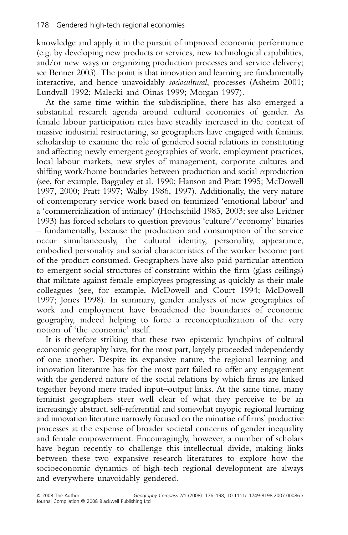knowledge and apply it in the pursuit of improved economic performance (e.g. by developing new products or services, new technological capabilities, and/or new ways or organizing production processes and service delivery; see Benner 2003). The point is that innovation and learning are fundamentally interactive, and hence unavoidably *sociocultural*, processes (Asheim 2001; Lundvall 1992; Malecki and Oinas 1999; Morgan 1997).

At the same time within the subdiscipline, there has also emerged a substantial research agenda around cultural economies of gender. As female labour participation rates have steadily increased in the context of massive industrial restructuring, so geographers have engaged with feminist scholarship to examine the role of gendered social relations in constituting and affecting newly emergent geographies of work, employment practices, local labour markets, new styles of management, corporate cultures and shifting work/home boundaries between production and social *re*production (see, for example, Bagguley et al. 1990; Hanson and Pratt 1995; McDowell 1997, 2000; Pratt 1997; Walby 1986, 1997). Additionally, the very nature of contemporary service work based on feminized 'emotional labour' and a 'commercialization of intimacy' (Hochschild 1983, 2003; see also Leidner 1993) has forced scholars to question previous 'culture'/'economy' binaries – fundamentally, because the production and consumption of the service occur simultaneously, the cultural identity, personality, appearance, embodied personality and social characteristics of the worker become part of the product consumed. Geographers have also paid particular attention to emergent social structures of constraint within the firm (glass ceilings) that militate against female employees progressing as quickly as their male colleagues (see, for example, McDowell and Court 1994; McDowell 1997; Jones 1998). In summary, gender analyses of new geographies of work and employment have broadened the boundaries of economic geography, indeed helping to force a reconceptualization of the very notion of 'the economic' itself.

It is therefore striking that these two epistemic lynchpins of cultural economic geography have, for the most part, largely proceeded independently of one another. Despite its expansive nature, the regional learning and innovation literature has for the most part failed to offer any engagement with the gendered nature of the social relations by which firms are linked together beyond mere traded input–output links. At the same time, many feminist geographers steer well clear of what they perceive to be an increasingly abstract, self-referential and somewhat myopic regional learning and innovation literature narrowly focused on the minutiae of firms' productive processes at the expense of broader societal concerns of gender inequality and female empowerment. Encouragingly, however, a number of scholars have begun recently to challenge this intellectual divide, making links between these two expansive research literatures to explore how the socioeconomic dynamics of high-tech regional development are always and everywhere unavoidably gendered.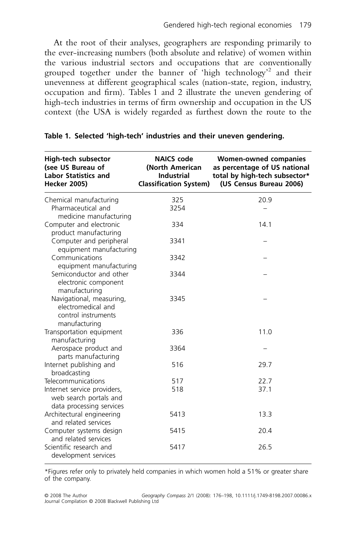At the root of their analyses, geographers are responding primarily to the ever-increasing numbers (both absolute and relative) of women within the various industrial sectors and occupations that are conventionally grouped together under the banner of 'high technology'<sup>2</sup> and their unevenness at different geographical scales (nation-state, region, industry, occupation and firm). Tables 1 and 2 illustrate the uneven gendering of high-tech industries in terms of firm ownership and occupation in the US context (the USA is widely regarded as furthest down the route to the

| High-tech subsector<br>(see US Bureau of<br><b>Labor Statistics and</b><br><b>Hecker 2005)</b> | <b>NAICS</b> code<br>(North American<br><b>Industrial</b><br><b>Classification System)</b> | <b>Women-owned companies</b><br>as percentage of US national<br>total by high-tech subsector*<br>(US Census Bureau 2006) |
|------------------------------------------------------------------------------------------------|--------------------------------------------------------------------------------------------|--------------------------------------------------------------------------------------------------------------------------|
| Chemical manufacturing                                                                         | 325                                                                                        | 20.9                                                                                                                     |
| Pharmaceutical and<br>medicine manufacturing                                                   | 3254                                                                                       |                                                                                                                          |
| Computer and electronic<br>product manufacturing                                               | 334                                                                                        | 14.1                                                                                                                     |
| Computer and peripheral<br>equipment manufacturing                                             | 3341                                                                                       |                                                                                                                          |
| Communications<br>equipment manufacturing                                                      | 3342                                                                                       |                                                                                                                          |
| Semiconductor and other<br>electronic component<br>manufacturing                               | 3344                                                                                       |                                                                                                                          |
| Navigational, measuring,<br>electromedical and<br>control instruments<br>manufacturing         | 3345                                                                                       |                                                                                                                          |
| Transportation equipment<br>manufacturing                                                      | 336                                                                                        | 11.0                                                                                                                     |
| Aerospace product and<br>parts manufacturing                                                   | 3364                                                                                       |                                                                                                                          |
| Internet publishing and<br>broadcasting                                                        | 516                                                                                        | 29.7                                                                                                                     |
| Telecommunications                                                                             | 517                                                                                        | 22.7                                                                                                                     |
| Internet service providers,<br>web search portals and<br>data processing services              | 518                                                                                        | 37.1                                                                                                                     |
| Architectural engineering<br>and related services                                              | 5413                                                                                       | 13.3                                                                                                                     |
| Computer systems design<br>and related services                                                | 5415                                                                                       | 20.4                                                                                                                     |
| Scientific research and<br>development services                                                | 5417                                                                                       | 26.5                                                                                                                     |

#### **Table 1. Selected 'high-tech' industries and their uneven gendering.**

\*Figures refer only to privately held companies in which women hold a 51% or greater share of the company.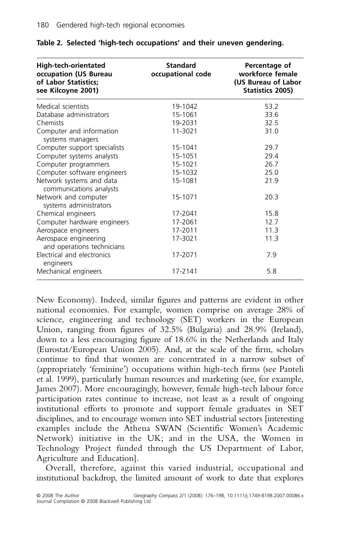| <b>High-tech-orientated</b><br>occupation (US Bureau<br>of Labor Statistics;<br>see Kilcoyne 2001) | <b>Standard</b><br>occupational code | Percentage of<br>workforce female<br>(US Bureau of Labor<br>Statistics 2005) |
|----------------------------------------------------------------------------------------------------|--------------------------------------|------------------------------------------------------------------------------|
| Medical scientists                                                                                 | 19-1042                              | 53.2                                                                         |
| Database administrators                                                                            | 15-1061                              | 33.6                                                                         |
| Chemists                                                                                           | 19-2031                              | 32.5                                                                         |
| Computer and information<br>systems managers                                                       | 11-3021                              | 31.0                                                                         |
| Computer support specialists                                                                       | 15-1041                              | 29.7                                                                         |
| Computer systems analysts                                                                          | 15-1051                              | 29.4                                                                         |
| Computer programmers                                                                               | 15-1021                              | 26.7                                                                         |
| Computer software engineers                                                                        | 15-1032                              | 25.0                                                                         |
| Network systems and data<br>communications analysts                                                | 15-1081                              | 21.9                                                                         |
| Network and computer<br>systems administrators                                                     | 15-1071                              | 20.3                                                                         |
| Chemical engineers                                                                                 | 17-2041                              | 15.8                                                                         |
| Computer hardware engineers                                                                        | 17-2061                              | 12.7                                                                         |
| Aerospace engineers                                                                                | 17-2011                              | 11.3                                                                         |
| Aerospace engineering<br>and operations technicians                                                | 17-3021                              | 11.3                                                                         |
| Electrical and electronics<br>engineers                                                            | 17-2071                              | 7.9                                                                          |
| Mechanical engineers                                                                               | 17-2141                              | 5.8                                                                          |

|  | Table 2. Selected 'high-tech occupations' and their uneven gendering. |  |  |
|--|-----------------------------------------------------------------------|--|--|
|  |                                                                       |  |  |

New Economy). Indeed, similar figures and patterns are evident in other national economies. For example, women comprise on average 28% of science, engineering and technology (SET) workers in the European Union, ranging from figures of 32.5% (Bulgaria) and 28.9% (Ireland), down to a less encouraging figure of 18.6% in the Netherlands and Italy (Eurostat/European Union 2005). And, at the scale of the firm, scholars continue to find that women are concentrated in a narrow subset of (appropriately 'feminine') occupations within high-tech firms (see Panteli et al. 1999), particularly human resources and marketing (see, for example, James 2007). More encouragingly, however, female high-tech labour force participation rates continue to increase, not least as a result of ongoing institutional efforts to promote and support female graduates in SET disciplines, and to encourage women into SET industrial sectors [interesting examples include the Athena SWAN (Scientific Women's Academic Network) initiative in the UK; and in the USA, the Women in Technology Project funded through the US Department of Labor, Agriculture and Education].

Overall, therefore, against this varied industrial, occupational and institutional backdrop, the limited amount of work to date that explores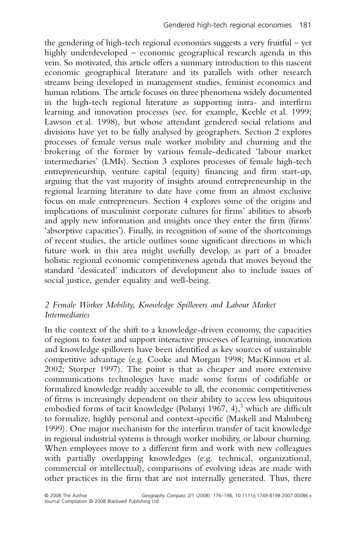the gendering of high-tech regional economies suggests a very fruitful – yet highly underdeveloped – economic geographical research agenda in this vein. So motivated, this article offers a summary introduction to this nascent economic geographical literature and its parallels with other research streams being developed in management studies, feminist economics and human relations. The article focuses on three phenomena widely documented in the high-tech regional literature as supporting intra- and interfirm learning and innovation processes (see, for example, Keeble et al. 1999; Lawson et al. 1998), but whose attendant gendered social relations and divisions have yet to be fully analysed by geographers. Section 2 explores processes of female versus male worker mobility and churning and the brokering of the former by various female-dedicated 'labour market intermediaries' (LMIs). Section 3 explores processes of female high-tech entrepreneurship, venture capital (equity) financing and firm start-up, arguing that the vast majority of insights around entrepreneurship in the regional learning literature to date have come from an almost exclusive focus on male entrepreneurs. Section 4 explores some of the origins and implications of masculinist corporate cultures for firms' abilities to absorb and apply new information and insights once they enter the firm (firms' 'absorptive capacities'). Finally, in recognition of some of the shortcomings of recent studies, the article outlines some significant directions in which future work in this area might usefully develop, as part of a broader holistic regional economic competitiveness agenda that moves beyond the standard 'dessicated' indicators of development also to include issues of social justice, gender equality and well-being.

## *2 Female Worker Mobility, Knowledge Spillovers and Labour Market Intermediaries*

In the context of the shift to a knowledge-driven economy, the capacities of regions to foster and support interactive processes of learning, innovation and knowledge spillovers have been identified as key sources of sustainable competitive advantage (e.g. Cooke and Morgan 1998; MacKinnon et al. 2002; Storper 1997). The point is that as cheaper and more extensive communications technologies have made some forms of codifiable or formalized knowledge readily accessible to all, the economic competitiveness of firms is increasingly dependent on their ability to access less ubiquitous embodied forms of tacit knowledge (Polanyi 1967, 4),<sup>3</sup> which are difficult to formalize, highly personal and context-specific (Maskell and Malmberg 1999). One major mechanism for the interfirm transfer of tacit knowledge in regional industrial systems is through worker mobility, or labour churning. When employees move to a different firm and work with new colleagues with partially overlapping knowledges (e.g. technical, organizational, commercial or intellectual), comparisons of evolving ideas are made with other practices in the firm that are not internally generated. Thus, there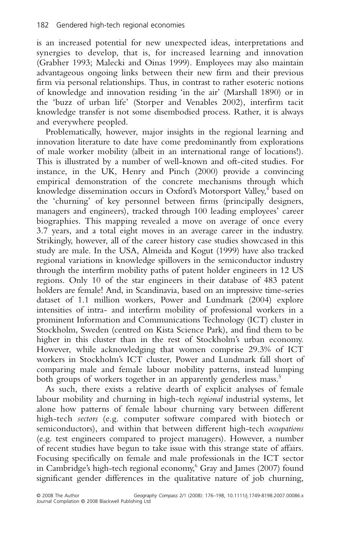is an increased potential for new unexpected ideas, interpretations and synergies to develop, that is, for increased learning and innovation (Grabher 1993; Malecki and Oinas 1999). Employees may also maintain advantageous ongoing links between their new firm and their previous firm via personal relationships. Thus, in contrast to rather esoteric notions of knowledge and innovation residing 'in the air' (Marshall 1890) or in the 'buzz of urban life' (Storper and Venables 2002), interfirm tacit knowledge transfer is not some disembodied process. Rather, it is always and everywhere peopled.

Problematically, however, major insights in the regional learning and innovation literature to date have come predominantly from explorations of male worker mobility (albeit in an international range of locations!). This is illustrated by a number of well-known and oft-cited studies. For instance, in the UK, Henry and Pinch (2000) provide a convincing empirical demonstration of the concrete mechanisms through which knowledge dissemination occurs in Oxford's Motorsport Valley, ${}^{\bar{4}}$  based on the 'churning' of key personnel between firms (principally designers, managers and engineers), tracked through 100 leading employees' career biographies. This mapping revealed a move on average of once every 3.7 years, and a total eight moves in an average career in the industry. Strikingly, however, all of the career history case studies showcased in this study are male. In the USA, Almeida and Kogut (1999) have also tracked regional variations in knowledge spillovers in the semiconductor industry through the interfirm mobility paths of patent holder engineers in 12 US regions. Only 10 of the star engineers in their database of 483 patent holders are female! And, in Scandinavia, based on an impressive time-series dataset of 1.1 million workers, Power and Lundmark (2004) explore intensities of intra- and interfirm mobility of professional workers in a prominent Information and Communications Technology (ICT) cluster in Stockholm, Sweden (centred on Kista Science Park), and find them to be higher in this cluster than in the rest of Stockholm's urban economy. However, while acknowledging that women comprise 29.3% of ICT workers in Stockholm's ICT cluster, Power and Lundmark fall short of comparing male and female labour mobility patterns, instead lumping both groups of workers together in an apparently genderless mass.<sup>5</sup>

As such, there exists a relative dearth of explicit analyses of female labour mobility and churning in high-tech *regional* industrial systems, let alone how patterns of female labour churning vary between different high-tech *sectors* (e.g. computer software compared with biotech or semiconductors), and within that between different high-tech *occupations* (e.g. test engineers compared to project managers). However, a number of recent studies have begun to take issue with this strange state of affairs. Focusing specifically on female and male professionals in the ICT sector in Cambridge's high-tech regional economy,<sup>6</sup> Gray and James (2007) found significant gender differences in the qualitative nature of job churning,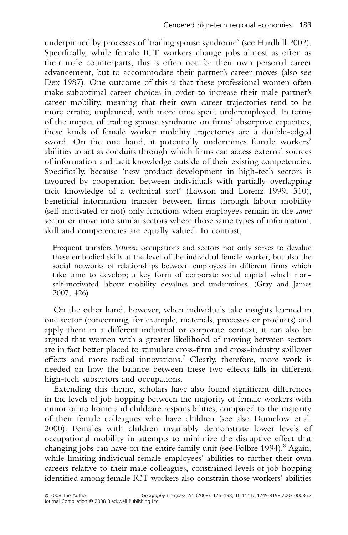underpinned by processes of 'trailing spouse syndrome' (see Hardhill 2002). Specifically, while female ICT workers change jobs almost as often as their male counterparts, this is often not for their own personal career advancement, but to accommodate their partner's career moves (also see Dex 1987). One outcome of this is that these professional women often make suboptimal career choices in order to increase their male partner's career mobility, meaning that their own career trajectories tend to be more erratic, unplanned, with more time spent underemployed. In terms of the impact of trailing spouse syndrome on firms' absorptive capacities, these kinds of female worker mobility trajectories are a double-edged sword. On the one hand, it potentially undermines female workers' abilities to act as conduits through which firms can access external sources of information and tacit knowledge outside of their existing competencies. Specifically, because 'new product development in high-tech sectors is favoured by cooperation between individuals with partially overlapping tacit knowledge of a technical sort' (Lawson and Lorenz 1999, 310), beneficial information transfer between firms through labour mobility (self-motivated or not) only functions when employees remain in the *same* sector or move into similar sectors where those same types of information, skill and competencies are equally valued. In contrast,

Frequent transfers *between* occupations and sectors not only serves to devalue these embodied skills at the level of the individual female worker, but also the social networks of relationships between employees in different firms which take time to develop; a key form of corporate social capital which nonself-motivated labour mobility devalues and undermines. (Gray and James 2007, 426)

On the other hand, however, when individuals take insights learned in one sector (concerning, for example, materials, processes or products) and apply them in a different industrial or corporate context, it can also be argued that women with a greater likelihood of moving between sectors are in fact better placed to stimulate cross-firm and cross-industry spillover effects and more radical innovations.<sup>7</sup> Clearly, therefore, more work is needed on how the balance between these two effects falls in different high-tech subsectors and occupations.

Extending this theme, scholars have also found significant differences in the levels of job hopping between the majority of female workers with minor or no home and childcare responsibilities, compared to the majority of their female colleagues who have children (see also Dumelow et al. 2000). Females with children invariably demonstrate lower levels of occupational mobility in attempts to minimize the disruptive effect that changing jobs can have on the entire family unit (see Folbre 1994).<sup>8</sup> Again, while limiting individual female employees' abilities to further their own careers relative to their male colleagues, constrained levels of job hopping identified among female ICT workers also constrain those workers' abilities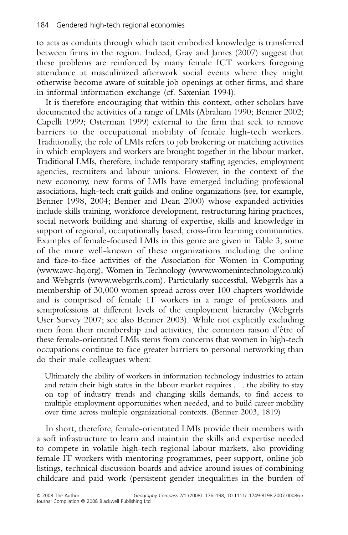to acts as conduits through which tacit embodied knowledge is transferred between firms in the region. Indeed, Gray and James (2007) suggest that these problems are reinforced by many female ICT workers foregoing attendance at masculinized afterwork social events where they might otherwise become aware of suitable job openings at other firms, and share in informal information exchange (cf. Saxenian 1994).

It is therefore encouraging that within this context, other scholars have documented the activities of a range of LMIs (Abraham 1990; Benner 2002; Capelli 1999; Osterman 1999) external to the firm that seek to remove barriers to the occupational mobility of female high-tech workers. Traditionally, the role of LMIs refers to job brokering or matching activities in which employers and workers are brought together in the labour market. Traditional LMIs, therefore, include temporary staffing agencies, employment agencies, recruiters and labour unions. However, in the context of the new economy, new forms of LMIs have emerged including professional associations, high-tech craft guilds and online organizations (see, for example, Benner 1998, 2004; Benner and Dean 2000) whose expanded activities include skills training, workforce development, restructuring hiring practices, social network building and sharing of expertise, skills and knowledge in support of regional, occupationally based, cross-firm learning communities. Examples of female-focused LMIs in this genre are given in Table 3, some of the more well-known of these organizations including the online and face-to-face activities of the Association for Women in Computing [\(www.awc-hq.org\)](www.awc-hq.org), Women in Technology [\(www.womenintechnology.co.uk](www.womenintechnology.co.uk)) and Webgrrls [\(www.webgrrls.com\)](www.webgrrls.com). Particularly successful, Webgrrls has a membership of 30,000 women spread across over 100 chapters worldwide and is comprised of female IT workers in a range of professions and semiprofessions at different levels of the employment hierarchy (Webgrrls User Survey 2007; see also Benner 2003). While not explicitly excluding men from their membership and activities, the common raison d'être of these female-orientated LMIs stems from concerns that women in high-tech occupations continue to face greater barriers to personal networking than do their male colleagues when:

Ultimately the ability of workers in information technology industries to attain and retain their high status in the labour market requires . . . the ability to stay on top of industry trends and changing skills demands, to find access to multiple employment opportunities when needed, and to build career mobility over time across multiple organizational contexts. (Benner 2003, 1819)

In short, therefore, female-orientated LMIs provide their members with a soft infrastructure to learn and maintain the skills and expertise needed to compete in volatile high-tech regional labour markets, also providing female IT workers with mentoring programmes, peer support, online job listings, technical discussion boards and advice around issues of combining childcare and paid work (persistent gender inequalities in the burden of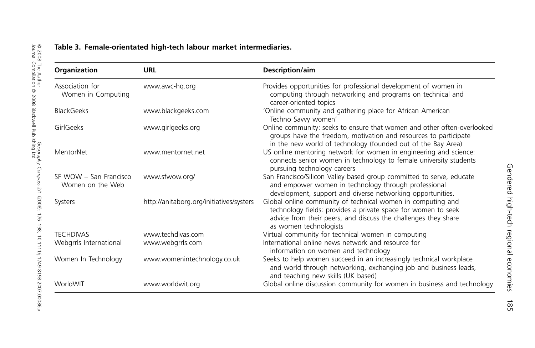# **Table 3. Female-orientated high-tech labour market intermediaries.**

| Organization                               | <b>URL</b>                               | Description/aim                                                                                                                                                                                                          |
|--------------------------------------------|------------------------------------------|--------------------------------------------------------------------------------------------------------------------------------------------------------------------------------------------------------------------------|
| Association for<br>Women in Computing      | www.awc-hq.org                           | Provides opportunities for professional development of women in<br>computing through networking and programs on technical and<br>career-oriented topics                                                                  |
| <b>BlackGeeks</b>                          | www.blackgeeks.com                       | 'Online community and gathering place for African American<br>Techno Savvy women'                                                                                                                                        |
| GirlGeeks                                  | www.girlgeeks.org                        | Online community: seeks to ensure that women and other often-overlooked<br>groups have the freedom, motivation and resources to participate<br>in the new world of technology (founded out of the Bay Area)              |
| MentorNet                                  | www.mentornet.net                        | US online mentoring network for women in engineering and science:<br>connects senior women in technology to female university students<br>pursuing technology careers                                                    |
| SF WOW - San Francisco<br>Women on the Web | www.sfwow.org/                           | San Francisco/Silicon Valley based group committed to serve, educate<br>and empower women in technology through professional<br>development, support and diverse networking opportunities.                               |
| Systers                                    | http://anitaborg.org/initiatives/systers | Global online community of technical women in computing and<br>technology fields: provides a private space for women to seek<br>advice from their peers, and discuss the challenges they share<br>as women technologists |
| <b>TECHDIVAS</b>                           | www.techdivas.com                        | Virtual community for technical women in computing                                                                                                                                                                       |
| Webgrrls International                     | www.webgrrls.com                         | International online news network and resource for<br>information on women and technology                                                                                                                                |
| Women In Technology                        | www.womenintechnology.co.uk              | Seeks to help women succeed in an increasingly technical workplace<br>and world through networking, exchanging job and business leads,<br>and teaching new skills (UK based)                                             |
| WorldWIT                                   | www.worldwit.org                         | Global online discussion community for women in business and technology                                                                                                                                                  |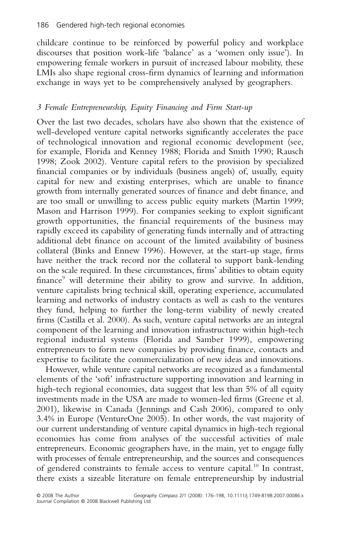childcare continue to be reinforced by powerful policy and workplace discourses that position work-life 'balance' as a 'women only issue'). In empowering female workers in pursuit of increased labour mobility, these LMIs also shape regional cross-firm dynamics of learning and information exchange in ways yet to be comprehensively analysed by geographers.

# *3 Female Entrepreneurship, Equity Financing and Firm Start-up*

Over the last two decades, scholars have also shown that the existence of well-developed venture capital networks significantly accelerates the pace of technological innovation and regional economic development (see, for example, Florida and Kenney 1988; Florida and Smith 1990; Rausch 1998; Zook 2002). Venture capital refers to the provision by specialized financial companies or by individuals (business angels) of, usually, equity capital for new and existing enterprises, which are unable to finance growth from internally generated sources of finance and debt finance, and are too small or unwilling to access public equity markets (Martin 1999; Mason and Harrison 1999). For companies seeking to exploit significant growth opportunities, the financial requirements of the business may rapidly exceed its capability of generating funds internally and of attracting additional debt finance on account of the limited availability of business collateral (Binks and Ennew 1996). However, at the start-up stage, firms have neither the track record nor the collateral to support bank-lending on the scale required. In these circumstances, firms' abilities to obtain equity finance<sup>9</sup> will determine their ability to grow and survive. In addition, venture capitalists bring technical skill, operating experience, accumulated learning and networks of industry contacts as well as cash to the ventures they fund, helping to further the long-term viability of newly created firms (Castilla et al. 2000). As such, venture capital networks are an integral component of the learning and innovation infrastructure within high-tech regional industrial systems (Florida and Samber 1999), empowering entrepreneurs to form new companies by providing finance, contacts and expertise to facilitate the commercialization of new ideas and innovations.

However, while venture capital networks are recognized as a fundamental elements of the 'soft' infrastructure supporting innovation and learning in high-tech regional economies, data suggest that less than 5% of all equity investments made in the USA are made to women-led firms (Greene et al. 2001), likewise in Canada (Jennings and Cash 2006), compared to only 3.4% in Europe (VentureOne 2005). In other words, the vast majority of our current understanding of venture capital dynamics in high-tech regional economies has come from analyses of the successful activities of male entrepreneurs. Economic geographers have, in the main, yet to engage fully with processes of female entrepreneurship, and the sources and consequences of gendered constraints to female access to venture capital.10 In contrast, there exists a sizeable literature on female entrepreneurship by industrial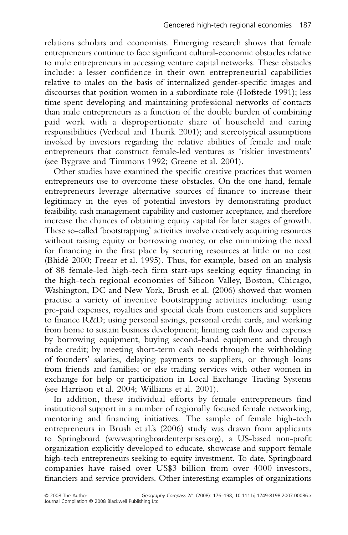relations scholars and economists. Emerging research shows that female entrepreneurs continue to face significant cultural-economic obstacles relative to male entrepreneurs in accessing venture capital networks. These obstacles include: a lesser confidence in their own entrepreneurial capabilities relative to males on the basis of internalized gender-specific images and discourses that position women in a subordinate role (Hofstede 1991); less time spent developing and maintaining professional networks of contacts than male entrepreneurs as a function of the double burden of combining paid work with a disproportionate share of household and caring responsibilities (Verheul and Thurik 2001); and stereotypical assumptions invoked by investors regarding the relative abilities of female and male entrepreneurs that construct female-led ventures as 'riskier investments' (see Bygrave and Timmons 1992; Greene et al. 2001).

Other studies have examined the specific creative practices that women entrepreneurs use to overcome these obstacles. On the one hand, female entrepreneurs leverage alternative sources of finance to increase their legitimacy in the eyes of potential investors by demonstrating product feasibility, cash management capability and customer acceptance, and therefore increase the chances of obtaining equity capital for later stages of growth. These so-called 'bootstrapping' activities involve creatively acquiring resources without raising equity or borrowing money, or else minimizing the need for financing in the first place by securing resources at little or no cost (Bhidé 2000; Freear et al. 1995). Thus, for example, based on an analysis of 88 female-led high-tech firm start-ups seeking equity financing in the high-tech regional economies of Silicon Valley, Boston, Chicago, Washington, DC and New York, Brush et al. (2006) showed that women practise a variety of inventive bootstrapping activities including: using pre-paid expenses, royalties and special deals from customers and suppliers to finance R&D; using personal savings, personal credit cards, and working from home to sustain business development; limiting cash flow and expenses by borrowing equipment, buying second-hand equipment and through trade credit; by meeting short-term cash needs through the withholding of founders' salaries, delaying payments to suppliers, or through loans from friends and families; or else trading services with other women in exchange for help or participation in Local Exchange Trading Systems (see Harrison et al. 2004; Williams et al. 2001).

In addition, these individual efforts by female entrepreneurs find institutional support in a number of regionally focused female networking, mentoring and financing initiatives. The sample of female high-tech entrepreneurs in Brush et al.'s (2006) study was drawn from applicants to Springboard [\(www.springboardenterprises.org\)](www.springboardenterprises.org), a US-based non-profit organization explicitly developed to educate, showcase and support female high-tech entrepreneurs seeking to equity investment. To date, Springboard companies have raised over US\$3 billion from over 4000 investors, financiers and service providers. Other interesting examples of organizations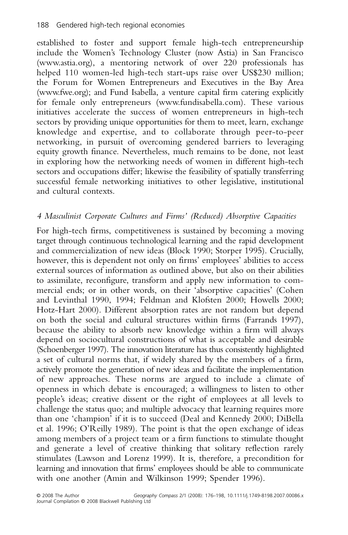established to foster and support female high-tech entrepreneurship include the Women's Technology Cluster (now Astia) in San Francisco (<www.astia.org>), a mentoring network of over 220 professionals has helped 110 women-led high-tech start-ups raise over US\$230 million; the Forum for Women Entrepreneurs and Executives in the Bay Area [\(www.fwe.org\)](www.fwe.org); and Fund Isabella, a venture capital firm catering explicitly for female only entrepreneurs [\(www.fundisabella.com](www.fundisabella.com)). These various initiatives accelerate the success of women entrepreneurs in high-tech sectors by providing unique opportunities for them to meet, learn, exchange knowledge and expertise, and to collaborate through peer-to-peer networking, in pursuit of overcoming gendered barriers to leveraging equity growth finance. Nevertheless, much remains to be done, not least in exploring how the networking needs of women in different high-tech sectors and occupations differ; likewise the feasibility of spatially transferring successful female networking initiatives to other legislative, institutional and cultural contexts.

# *4 Masculinist Corporate Cultures and Firms' (Reduced) Absorptive Capacities*

For high-tech firms, competitiveness is sustained by becoming a moving target through continuous technological learning and the rapid development and commercialization of new ideas (Block 1990; Storper 1995). Crucially, however, this is dependent not only on firms' employees' abilities to access external sources of information as outlined above, but also on their abilities to assimilate, reconfigure, transform and apply new information to commercial ends; or in other words, on their 'absorptive capacities' (Cohen and Levinthal 1990, 1994; Feldman and Klofsten 2000; Howells 2000; Hotz-Hart 2000). Different absorption rates are not random but depend on both the social and cultural structures within firms (Farrands 1997), because the ability to absorb new knowledge within a firm will always depend on sociocultural constructions of what is acceptable and desirable (Schoenberger 1997). The innovation literature has thus consistently highlighted a set of cultural norms that, if widely shared by the members of a firm, actively promote the generation of new ideas and facilitate the implementation of new approaches. These norms are argued to include a climate of openness in which debate is encouraged; a willingness to listen to other people's ideas; creative dissent or the right of employees at all levels to challenge the status quo; and multiple advocacy that learning requires more than one 'champion' if it is to succeed (Deal and Kennedy 2000; DiBella et al. 1996; O'Reilly 1989). The point is that the open exchange of ideas among members of a project team or a firm functions to stimulate thought and generate a level of creative thinking that solitary reflection rarely stimulates (Lawson and Lorenz 1999). It is, therefore, a precondition for learning and innovation that firms' employees should be able to communicate with one another (Amin and Wilkinson 1999; Spender 1996).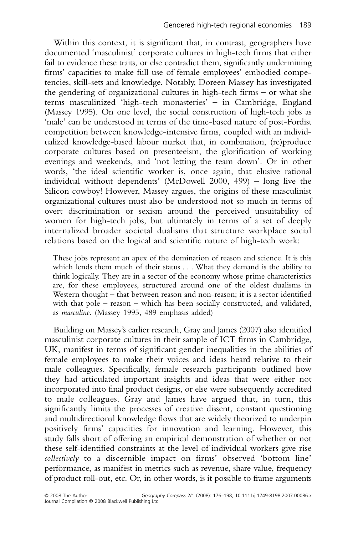Within this context, it is significant that, in contrast, geographers have documented 'masculinist' corporate cultures in high-tech firms that either fail to evidence these traits, or else contradict them, significantly undermining firms' capacities to make full use of female employees' embodied competencies, skill-sets and knowledge. Notably, Doreen Massey has investigated the gendering of organizational cultures in high-tech firms – or what she terms masculinized 'high-tech monasteries' – in Cambridge, England (Massey 1995). On one level, the social construction of high-tech jobs as 'male' can be understood in terms of the time-based nature of post-Fordist competition between knowledge-intensive firms, coupled with an individualized knowledge-based labour market that, in combination, (re)produce corporate cultures based on presenteeism, the glorification of working evenings and weekends, and 'not letting the team down'. Or in other words, 'the ideal scientific worker is, once again, that elusive rational individual without dependents' (McDowell 2000, 499) – long live the Silicon cowboy! However, Massey argues, the origins of these masculinist organizational cultures must also be understood not so much in terms of overt discrimination or sexism around the perceived unsuitability of women for high-tech jobs, but ultimately in terms of a set of deeply internalized broader societal dualisms that structure workplace social relations based on the logical and scientific nature of high-tech work:

These jobs represent an apex of the domination of reason and science. It is this which lends them much of their status . . . What they demand is the ability to think logically. They are in a sector of the economy whose prime characteristics are, for these employees, structured around one of the oldest dualisms in Western thought – that between reason and non-reason; it is a sector identified with that pole – reason – which has been socially constructed, and validated, as *masculine*. (Massey 1995, 489 emphasis added)

Building on Massey's earlier research, Gray and James (2007) also identified masculinist corporate cultures in their sample of ICT firms in Cambridge, UK, manifest in terms of significant gender inequalities in the abilities of female employees to make their voices and ideas heard relative to their male colleagues. Specifically, female research participants outlined how they had articulated important insights and ideas that were either not incorporated into final product designs, or else were subsequently accredited to male colleagues. Gray and James have argued that, in turn, this significantly limits the processes of creative dissent, constant questioning and multidirectional knowledge flows that are widely theorized to underpin positively firms' capacities for innovation and learning. However, this study falls short of offering an empirical demonstration of whether or not these self-identified constraints at the level of individual workers give rise *collectively* to a discernible impact on firms' observed 'bottom line' performance, as manifest in metrics such as revenue, share value, frequency of product roll-out, etc. Or, in other words, is it possible to frame arguments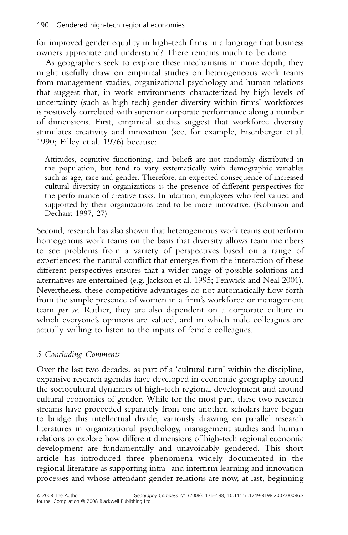for improved gender equality in high-tech firms in a language that business owners appreciate and understand? There remains much to be done.

As geographers seek to explore these mechanisms in more depth, they might usefully draw on empirical studies on heterogeneous work teams from management studies, organizational psychology and human relations that suggest that, in work environments characterized by high levels of uncertainty (such as high-tech) gender diversity within firms' workforces is positively correlated with superior corporate performance along a number of dimensions. First, empirical studies suggest that workforce diversity stimulates creativity and innovation (see, for example, Eisenberger et al. 1990; Filley et al. 1976) because:

Attitudes, cognitive functioning, and beliefs are not randomly distributed in the population, but tend to vary systematically with demographic variables such as age, race and gender. Therefore, an expected consequence of increased cultural diversity in organizations is the presence of different perspectives for the performance of creative tasks. In addition, employees who feel valued and supported by their organizations tend to be more innovative. (Robinson and Dechant 1997, 27)

Second, research has also shown that heterogeneous work teams outperform homogenous work teams on the basis that diversity allows team members to see problems from a variety of perspectives based on a range of experiences: the natural conflict that emerges from the interaction of these different perspectives ensures that a wider range of possible solutions and alternatives are entertained (e.g. Jackson et al. 1995; Fenwick and Neal 2001). Nevertheless, these competitive advantages do not automatically flow forth from the simple presence of women in a firm's workforce or management team *per se*. Rather, they are also dependent on a corporate culture in which everyone's opinions are valued, and in which male colleagues are actually willing to listen to the inputs of female colleagues.

## *5 Concluding Comments*

Over the last two decades, as part of a 'cultural turn' within the discipline, expansive research agendas have developed in economic geography around the sociocultural dynamics of high-tech regional development and around cultural economies of gender. While for the most part, these two research streams have proceeded separately from one another, scholars have begun to bridge this intellectual divide, variously drawing on parallel research literatures in organizational psychology, management studies and human relations to explore how different dimensions of high-tech regional economic development are fundamentally and unavoidably gendered. This short article has introduced three phenomena widely documented in the regional literature as supporting intra- and interfirm learning and innovation processes and whose attendant gender relations are now, at last, beginning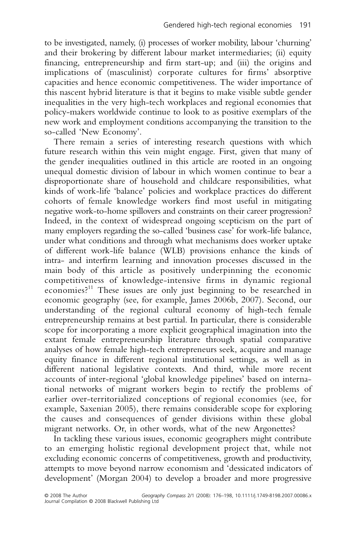to be investigated, namely, (i) processes of worker mobility, labour 'churning' and their brokering by different labour market intermediaries; (ii) equity financing, entrepreneurship and firm start-up; and (iii) the origins and implications of (masculinist) corporate cultures for firms' absorptive capacities and hence economic competitiveness. The wider importance of this nascent hybrid literature is that it begins to make visible subtle gender inequalities in the very high-tech workplaces and regional economies that policy-makers worldwide continue to look to as positive exemplars of the new work and employment conditions accompanying the transition to the so-called 'New Economy'.

There remain a series of interesting research questions with which future research within this vein might engage. First, given that many of the gender inequalities outlined in this article are rooted in an ongoing unequal domestic division of labour in which women continue to bear a disproportionate share of household and childcare responsibilities, what kinds of work-life 'balance' policies and workplace practices do different cohorts of female knowledge workers find most useful in mitigating negative work-to-home spillovers and constraints on their career progression? Indeed, in the context of widespread ongoing scepticism on the part of many employers regarding the so-called 'business case' for work-life balance, under what conditions and through what mechanisms does worker uptake of different work-life balance (WLB) provisions enhance the kinds of intra- and interfirm learning and innovation processes discussed in the main body of this article as positively underpinning the economic competitiveness of knowledge-intensive firms in dynamic regional economies?<sup>11</sup> These issues are only just beginning to be researched in economic geography (see, for example, James 2006b, 2007). Second, our understanding of the regional cultural economy of high-tech female entrepreneurship remains at best partial. In particular, there is considerable scope for incorporating a more explicit geographical imagination into the extant female entrepreneurship literature through spatial comparative analyses of how female high-tech entrepreneurs seek, acquire and manage equity finance in different regional institutional settings, as well as in different national legislative contexts. And third, while more recent accounts of inter-regional 'global knowledge pipelines' based on international networks of migrant workers begin to rectify the problems of earlier over-territorialized conceptions of regional economies (see, for example, Saxenian 2005), there remains considerable scope for exploring the causes and consequences of gender divisions within these global migrant networks. Or, in other words, what of the new Argonettes?

In tackling these various issues, economic geographers might contribute to an emerging holistic regional development project that, while not excluding economic concerns of competitiveness, growth and productivity, attempts to move beyond narrow economism and 'dessicated indicators of development' (Morgan 2004) to develop a broader and more progressive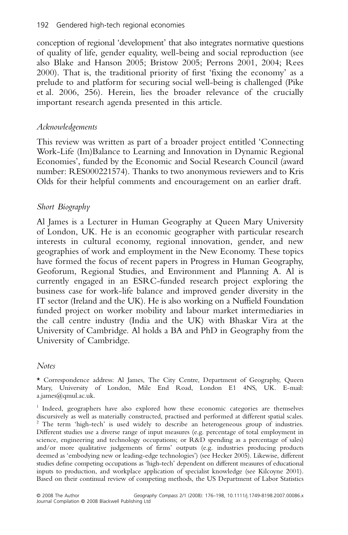conception of regional 'development' that also integrates normative questions of quality of life, gender equality, well-being and social reproduction (see also Blake and Hanson 2005; Bristow 2005; Perrons 2001, 2004; Rees 2000). That is, the traditional priority of first 'fixing the economy' as a prelude to and platform for securing social well-being is challenged (Pike et al. 2006, 256). Herein, lies the broader relevance of the crucially important research agenda presented in this article.

## *Acknowledgements*

This review was written as part of a broader project entitled 'Connecting Work-Life (Im)Balance to Learning and Innovation in Dynamic Regional Economies', funded by the Economic and Social Research Council (award number: RES000221574). Thanks to two anonymous reviewers and to Kris Olds for their helpful comments and encouragement on an earlier draft.

## *Short Biography*

Al James is a Lecturer in Human Geography at Queen Mary University of London, UK. He is an economic geographer with particular research interests in cultural economy, regional innovation, gender, and new geographies of work and employment in the New Economy. These topics have formed the focus of recent papers in Progress in Human Geography, Geoforum, Regional Studies, and Environment and Planning A. Al is currently engaged in an ESRC-funded research project exploring the business case for work-life balance and improved gender diversity in the IT sector (Ireland and the UK). He is also working on a Nuffield Foundation funded project on worker mobility and labour market intermediaries in the call centre industry (India and the UK) with Bhaskar Vira at the University of Cambridge. Al holds a BA and PhD in Geography from the University of Cambridge.

### *Notes*

\* Correspondence address: Al James, The City Centre, Department of Geography, Queen Mary, University of London, Mile End Road, London E1 4NS, UK. E-mail: a.james@qmul.ac.uk.

<sup>1</sup> Indeed, geographers have also explored how these economic categories are themselves discursively as well as materially constructed, practised and performed at different spatial scales. <sup>2</sup> The term 'high-tech' is used widely to describe an heterogeneous group of industries. Different studies use a diverse range of input measures (e.g. percentage of total employment in science, engineering and technology occupations; or R&D spending as a percentage of sales) and/or more qualitative judgements of firms' outputs (e.g. industries producing products deemed as 'embodying new or leading-edge technologies') (see Hecker 2005). Likewise, different studies define competing occupations as 'high-tech' dependent on different measures of educational inputs to production, and workplace application of specialist knowledge (see Kilcoyne 2001). Based on their continual review of competing methods, the US Department of Labor Statistics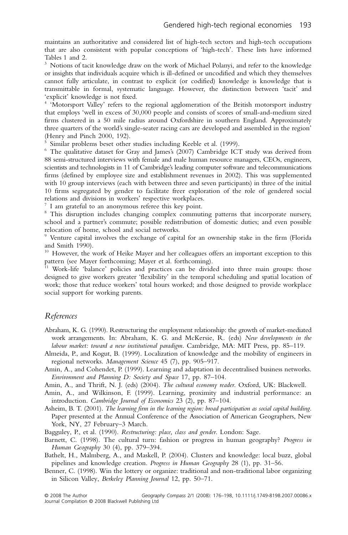maintains an authoritative and considered list of high-tech sectors and high-tech occupations that are also consistent with popular conceptions of 'high-tech'. These lists have informed Tables 1 and 2.

<sup>3</sup> Notions of tacit knowledge draw on the work of Michael Polanyi, and refer to the knowledge or insights that individuals acquire which is ill-defined or uncodified and which they themselves cannot fully articulate, in contrast to explicit (or codified) knowledge is knowledge that is transmittable in formal, systematic language. However, the distinction between 'tacit' and 'explicit' knowledge is not fixed.

<sup>4</sup> 'Motorsport Valley' refers to the regional agglomeration of the British motorsport industry that employs 'well in excess of 30,000 people and consists of scores of small-and-medium sized firms clustered in a 50 mile radius around Oxfordshire in southern England. Approximately three quarters of the world's single-seater racing cars are developed and assembled in the region' (Henry and Pinch 2000, 192).

<sup>5</sup> Similar problems beset other studies including Keeble et al. (1999).

 $6$  The qualitative dataset for Gray and James's (2007) Cambridge ICT study was derived from 88 semi-structured interviews with female and male human resource managers, CEOs, engineers, scientists and technologists in 11 of Cambridge's leading computer software and telecommunications firms (defined by employee size and establishment revenues in 2002). This was supplemented with 10 group interviews (each with between three and seven participants) in three of the initial 10 firms segregated by gender to facilitate freer exploration of the role of gendered social relations and divisions in workers' respective workplaces.

<sup>7</sup> I am grateful to an anonymous referee this key point.

<sup>8</sup> This disruption includes changing complex commuting patterns that incorporate nursery, school and a partner's commute; possible redistribution of domestic duties; and even possible relocation of home, school and social networks.

<sup>9</sup> Venture capital involves the exchange of capital for an ownership stake in the firm (Florida and Smith 1990).

<sup>10</sup> However, the work of Heike Mayer and her colleagues offers an important exception to this pattern (see Mayer forthcoming; Mayer et al. forthcoming).

<sup>11</sup> Work-life 'balance' policies and practices can be divided into three main groups: those designed to give workers greater 'flexibility' in the temporal scheduling and spatial location of work; those that reduce workers' total hours worked; and those designed to provide workplace social support for working parents.

#### *References*

- Abraham, K. G. (1990). Restructuring the employment relationship: the growth of market-mediated work arrangements. In: Abraham, K. G. and McKersie, R. (eds) *New developments in the labour market: toward a new institutional paradigm*. Cambridge, MA: MIT Press, pp. 85–119.
- Almeida, P., and Kogut, B. (1999). Localization of knowledge and the mobility of engineers in regional networks. *Management Science* 45 (7), pp. 905–917.
- Amin, A., and Cohendet, P. (1999). Learning and adaptation in decentralised business networks. *Environment and Planning D: Society and Space* 17, pp. 87–104.
- Amin, A., and Thrift, N. J. (eds) (2004). *The cultural economy reader*. Oxford, UK: Blackwell.
- Amin, A., and Wilkinson, F. (1999). Learning, proximity and industrial performance: an introduction. *Cambridge Journal of Economics* 23 (2), pp. 87–104.
- Asheim, B. T. (2001). *The learning firm in the learning region: broad participation as social capital building*. Paper presented at the Annual Conference of the Association of American Geographers, New York, NY, 27 February–3 March.
- Bagguley, P., et al. (1990). *Restructuring: place, class and gender*. London: Sage.
- Barnett, C. (1998). The cultural turn: fashion or progress in human geography? *Progress in Human Geography* 30 (4), pp. 379–394.
- Bathelt, H., Malmberg, A., and Maskell, P. (2004). Clusters and knowledge: local buzz, global pipelines and knowledge creation. *Progress in Human Geography* 28 (1), pp. 31–56.
- Benner, C. (1998). Win the lottery or organize: traditional and non-traditional labor organizing in Silicon Valley, *Berkeley Planning Journal* 12, pp. 50–71.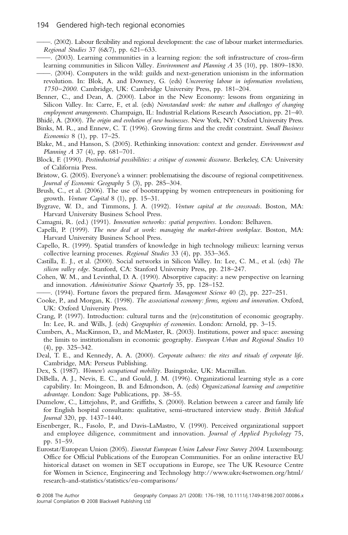——. (2002). Labour flexibility and regional development: the case of labour market intermediaries. *Regional Studies* 37 (6&7), pp. 621–633.

——. (2003). Learning communities in a learning region: the soft infrastructure of cross-firm learning communities in Silicon Valley. *Environment and Planning A* 35 (10), pp. 1809–1830.

——. (2004). Computers in the wild: guilds and next-generation unionism in the information revolution. In: Blok, A. and Downey, G. (eds) *Uncovering labour in information revolutions, 1750–2000*. Cambridge, UK: Cambridge University Press, pp. 181–204.

Benner, C., and Dean, A. (2000). Labor in the New Economy: lessons from organizing in Silicon Valley. In: Carre, F., et al. (eds) *Nonstandard work: the nature and challenges of changing employment arrangements*. Champaign, IL: Industrial Relations Research Association, pp. 21–40.

Bhidé, A. (2000). *The origin and evolution of new businesses*. New York, NY: Oxford University Press. Binks, M. R., and Ennew, C. T. (1996). Growing firms and the credit constraint. *Small Business*

- *Economics* 8 (1), pp. 17–25.
- Blake, M., and Hanson, S. (2005). Rethinking innovation: context and gender. *Environment and Planning A* 37 (4), pp. 681–701.
- Block, F. (1990). *Postindustrial possibilities: a critique of economic discourse*. Berkeley, CA: University of California Press.
- Bristow, G. (2005). Everyone's a winner: problematising the discourse of regional competitiveness. *Journal of Economic Geography* 5 (3), pp. 285–304.
- Brush, C., et al. (2006). The use of bootstrapping by women entrepreneurs in positioning for growth. *Venture Capital* 8 (1), pp. 15–31.
- Bygrave, W. D., and Timmons, J. A. (1992). *Venture capital at the crossroads*. Boston, MA: Harvard University Business School Press.
- Camagni, R. (ed.) (1991). *Innovation networks: spatial perspectives*. London: Belhaven.
- Capelli, P. (1999). *The new deal at work: managing the market-driven workplace*. Boston, MA: Harvard University Business School Press.
- Capello, R. (1999). Spatial transfers of knowledge in high technology milieux: learning versus collective learning processes. *Regional Studies* 33 (4), pp. 353–365.
- Castilla, E. J., et al. (2000). Social networks in Silicon Valley. In: Lee, C. M., et al. (eds) *The silicon valley edge*. Stanford, CA: Stanford University Press, pp. 218–247.
- Cohen, W. M., and Levinthal, D. A. (1990). Absorptive capacity: a new perspective on learning and innovation. *Administrative Science Quarterly* 35, pp. 128–152.
- ——. (1994). Fortune favors the prepared firm. *Management Science* 40 (2), pp. 227–251.
- Cooke, P., and Morgan, K. (1998). *The associational economy: firms, regions and innovation*. Oxford, UK: Oxford University Press.
- Crang, P. (1997). Introduction: cultural turns and the (re)constitution of economic geography. In: Lee, R. and Wills, J. (eds) *Geographies of economies*. London: Arnold, pp. 3–15.
- Cumbers, A., MacKinnon, D., and McMaster, R. (2003). Institutions, power and space: assessing the limits to institutionalism in economic geography. *European Urban and Regional Studies* 10 (4), pp. 325–342.
- Deal, T. E., and Kennedy, A. A. (2000). *Corporate cultures: the rites and rituals of corporate life*. Cambridge, MA: Perseus Publishing.

Dex, S. (1987). *Women's occupational mobility*. Basingstoke, UK: Macmillan.

- DiBella, A. J., Nevis, E. C., and Gould, J. M. (1996). Organizational learning style as a core capability. In: Moingeon, B. and Edmondson, A. (eds) *Organizational learning and competitive advantage*. London: Sage Publications, pp. 38–55.
- Dumelow, C., Littejohns, P., and Griffiths, S. (2000). Relation between a career and family life for English hospital consultants: qualitative, semi-structured interview study. *British Medical Journal* 320, pp. 1437–1440.
- Eisenberger, R., Fasolo, P., and Davis-LaMastro, V. (1990). Perceived organizational support and employee diligence, commitment and innovation. *Journal of Applied Psychology* 75, pp. 51–59.
- Eurostat/European Union (2005). *Eurostat European Union Labour Force Survey 2004*. Luxembourg: Office for Official Publications of the European Communities. For an online interactive EU historical dataset on women in SET occupations in Europe, see The UK Resource Centre [for Women in Science, Engineering and Technology http://www.ukrc4setwomen.org/html/](http://www.ukrc4setwomen.org/html/research-and-statistics/statistics/eu-comparisons/) research-and-statistics/statistics/eu-comparisons/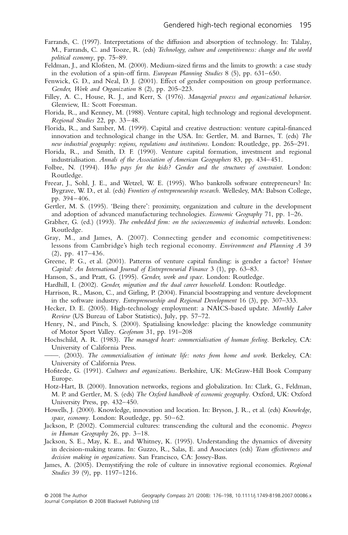- Farrands, C. (1997). Interpretations of the diffusion and absorption of technology. In: Talalay, M., Farrands, C. and Tooze, R. (eds) *Technology, culture and competitiveness: change and the world political economy*, pp. 75–89.
- Feldman, J., and Klofsten, M. (2000). Medium-sized firms and the limits to growth: a case study in the evolution of a spin-off firm. *European Planning Studies* 8 (5), pp. 631–650.
- Fenwick, G. D., and Neal, D. J. (2001). Effect of gender composition on group performance. *Gender, Work and Organization* 8 (2), pp. 205–223.
- Filley, A. C., House, R. J., and Kerr, S. (1976). *Managerial process and organizational behavior*. Glenview, IL: Scott Foresman.
- Florida, R., and Kenney, M. (1988). Venture capital, high technology and regional development. *Regional Studies* 22, pp. 33–48.
- Florida, R., and Samber, M. (1999). Capital and creative destruction: venture capital-financed innovation and technological change in the USA. In: Gertler, M. and Barnes, T. (eds) *The new industrial geography: regions, regulations and institutions*. London: Routledge, pp. 265–291.
- Florida, R., and Smith, D. F. (1990). Venture capital formation, investment and regional industrialisation. *Annals of the Association of American Geographers* 83, pp. 434–451.
- Folbre, N. (1994). *Who pays for the kids? Gender and the structures of constraint*. London: Routledge.
- Freear, J., Sohl, J. E., and Wetzel, W. E. (1995). Who bankrolls software entrepreneurs? In: Bygrave, W. D., et al. (eds) *Frontiers of entrepreneurship research*. Wellesley, MA: Babson College, pp. 394–406.
- Gertler, M. S. (1995). 'Being there': proximity, organization and culture in the development and adoption of advanced manufacturing technologies. *Economic Geography* 71, pp. 1–26.
- Grabher, G. (ed.) (1993). *The embedded firm: on the socioeconomics of industrial networks*. London: Routledge.
- Gray, M., and James, A. (2007). Connecting gender and economic competitiveness: lessons from Cambridge's high tech regional economy. *Environment and Planning A* 39 (2), pp. 417–436.
- Greene, P. G., et al. (2001). Patterns of venture capital funding: is gender a factor? *Venture Capital: An International Journal of Entrepreneurial Finance* 3 (1), pp. 63–83.
- Hanson, S., and Pratt, G. (1995). *Gender, work and space*. London: Routledge.
- Hardhill, I. (2002). *Gender, migration and the dual career household*. London: Routledge.
- Harrison, R., Mason, C., and Girling, P. (2004). Financial boostrapping and venture development in the software industry. *Entrepreneurship and Regional Development* 16 (3), pp. 307–333.
- Hecker, D. E. (2005). High-technology employment: a NAICS-based update. *Monthly Labor Review* (US Bureau of Labor Statistics), July, pp. 57–72.
- Henry, N., and Pinch, S. (2000). Spatialising knowledge: placing the knowledge community of Motor Sport Valley. *Geoforum* 31, pp. 191–208
- Hochschild, A. R. (1983). *The managed heart: commercialisation of human feeling*. Berkeley, CA: University of California Press.

——. (2003). *The commercialisation of intimate life: notes from home and work*. Berkeley, CA: University of California Press.

- Hofstede, G. (1991). *Cultures and organizations*. Berkshire, UK: McGraw-Hill Book Company Europe.
- Hotz-Hart, B. (2000). Innovation networks, regions and globalization. In: Clark, G., Feldman, M. P. and Gertler, M. S. (eds) *The Oxford handbook of economic geography*. Oxford, UK: Oxford University Press, pp. 432–450.
- Howells, J. (2000). Knowledge, innovation and location. In: Bryson, J. R., et al. (eds) *Knowledge, space, economy*. London: Routledge, pp. 50–62.
- Jackson, P. (2002). Commercial cultures: transcending the cultural and the economic. *Progress in Human Geography* 26, pp. 3–18.
- Jackson, S. E., May, K. E., and Whitney, K. (1995). Understanding the dynamics of diversity in decision-making teams. In: Guzzo, R., Salas, E. and Associates (eds) *Team effectiveness and decision making in organizations*. San Francisco, CA: Jossey-Bass.
- James, A. (2005). Demystifying the role of culture in innovative regional economies. *Regional Studies* 39 (9), pp. 1197–1216.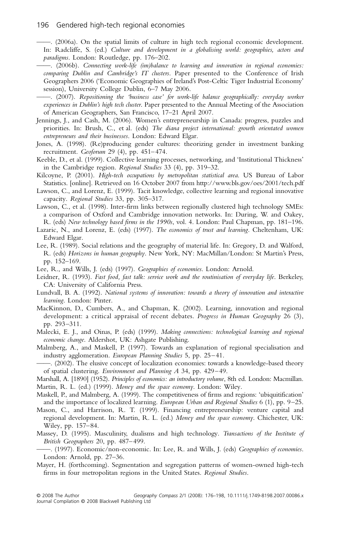——. (2006a). On the spatial limits of culture in high tech regional economic development. In: Radcliffe, S. (ed.) *Culture and development in a globalising world: geographies, actors and paradigms*. London: Routledge, pp. 176–202.

——. (2006b). *Connecting work-life (im)balance to learning and innovation in regional economies: comparing Dublin and Cambridge's IT clusters*. Paper presented to the Conference of Irish Geographers 2006 ('Economic Geographies of Ireland's Post-Celtic Tiger Industrial Economy' session), University College Dublin, 6–7 May 2006.

——. (2007). *Repositioning the 'business case' for work-life balance geographically: everyday worker experiences in Dublin's high tech cluster*. Paper presented to the Annual Meeting of the Association of American Geographers, San Francisco, 17–21 April 2007.

Jennings, J., and Cash, M. (2006). Women's entrepreneurship in Canada: progress, puzzles and priorities. In: Brush, C., et al. (eds) *The diana project international: growth orientated women entrepreneurs and their businesses*. London: Edward Elgar.

- Jones, A. (1998). (Re)producing gender cultures: theorizing gender in investment banking recruitment. *Geoforum* 29 (4), pp. 451–474.
- Keeble, D., et al. (1999). Collective learning processes, networking, and 'Institutional Thickness' in the Cambridge region. *Regional Studies* 33 (4), pp. 319–32.
- Kilcoyne, P. (2001). *High-tech occupations by metropolitan statistical area*. US Bureau of Labor Statistics. [online]. Retrieved on 16 October 2007 from<http://www.bls.gov/oes/2001/tech.pdf>
- Lawson, C., and Lorenz, E. (1999). Tacit knowledge, collective learning and regional innovative capacity. *Regional Studies* 33, pp. 305–317.
- Lawson, C., et al. (1998). Inter-firm links between regionally clustered high technology SMEs: a comparison of Oxford and Cambridge innovation networks. In: During, W. and Oakey, R. (eds) *New technology based firms in the 1990s*, vol. 4. London: Paul Chapman, pp. 181–196.
- Lazaric, N., and Lorenz, E. (eds) (1997). *The economics of trust and learning*. Cheltenham, UK: Edward Elgar.
- Lee, R. (1989). Social relations and the geography of material life. In: Gregory, D. and Walford, R. (eds) *Horizons in human geography*. New York, NY: MacMillan/London: St Martin's Press, pp. 152–169.
- Lee, R., and Wills, J. (eds) (1997). *Geographies of economies*. London: Arnold.
- Leidner, R. (1993). *Fast food, fast talk: service work and the routinisation of everyday life*. Berkeley, CA: University of California Press.
- Lundvall, B. A. (1992). *National systems of innovation: towards a theory of innovation and interactive learning*. London: Pinter.
- MacKinnon, D., Cumbers, A., and Chapman, K. (2002). Learning, innovation and regional development: a critical appraisal of recent debates. *Progress in Human Geography* 26 (3), pp. 293–311.
- Malecki, E. J., and Oinas, P. (eds) (1999). *Making connections: technological learning and regional economic change*. Aldershot, UK: Ashgate Publishing.
- Malmberg, A., and Maskell, P. (1997). Towards an explanation of regional specialisation and industry agglomeration. *European Planning Studies* 5, pp. 25–41.

——. (2002). The elusive concept of localization economies: towards a knowledge-based theory of spatial clustering. *Environment and Planning A* 34, pp. 429–49.

Marshall, A. [1890] (1952). *Principles of economics: an introductory volume*, 8th ed. London: Macmillan. Martin, R. L. (ed.) (1999). *Money and the space economy*. London: Wiley.

Maskell, P., and Malmberg, A. (1999). The competitiveness of firms and regions: 'ubiquitification' and the importance of localized learning. *European Urban and Regional Studies* 6 (1), pp. 9–25.

- Mason, C., and Harrison, R. T. (1999). Financing entrepreneurship: venture capital and regional development. In: Martin, R. L. (ed.) *Money and the space economy*. Chichester, UK: Wiley, pp. 157–84.
- Massey, D. (1995). Masculinity, dualisms and high technology. *Transactions of the Institute of British Geographers* 20, pp. 487–499.
- ——. (1997). Economic/non-economic. In: Lee, R. and Wills, J. (eds) *Geographies of economies*. London: Arnold, pp. 27–36.
- Mayer, H. (forthcoming). Segmentation and segregation patterns of women-owned high-tech firms in four metropolitan regions in the United States. *Regional Studies*.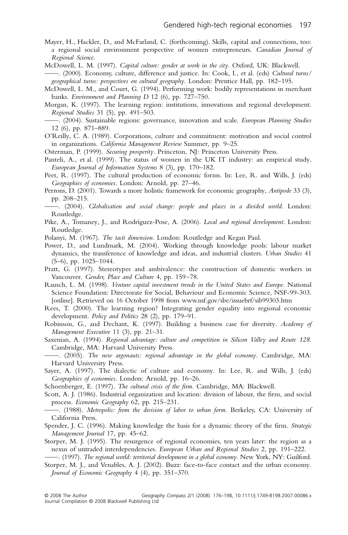- Mayer, H., Hackler, D., and McFarland, C. (forthcoming). Skills, capital and connections, too: a regional social environment perspective of women entrepreneurs. *Canadian Journal of Regional Science*.
- McDowell, L. M. (1997). *Capital culture: gender at work in the city*. Oxford, UK: Blackwell. ——. (2000). Economy, culture, difference and justice. In: Cook, I., et al. (eds) *Cultural turns/ geographical turns: perspectives on cultural geography*. London: Prentice Hall, pp. 182–195.
- McDowell, L. M., and Court, G. (1994). Performing work: bodily representations in merchant banks. *Environment and Planning D* 12 (6), pp. 727–750.
- Morgan, K. (1997). The learning region: institutions, innovations and regional development. *Regional Studies* 31 (5), pp. 491–503.
- ——. (2004). Sustainable regions: governance, innovation and scale. *European Planning Studies* 12 (6), pp. 871–889.
- O'Reilly, C. A. (1989). Corporations, culture and commitment: motivation and social control in organizations. *California Management Review* Summer, pp. 9–25.
- Osterman, P. (1999). *Securing prosperity*. Princeton, NJ: Princeton University Press.
- Panteli, A., et al. (1999). The status of women in the UK IT industry: an empirical study. *European Journal of Information Systems* 8 (3), pp. 170–182.
- Peet, R. (1997). The cultural production of economic forms. In: Lee, R. and Wills, J. (eds) *Geographies of economies*. London: Arnold, pp. 27–46.
- Perrons, D. (2001). Towards a more holistic framework for economic geography, *Antipode* 33 (3), pp. 208–215.
- ——. (2004). *Globalisation and social change: people and places in a divided world*. London: Routledge.
- Pike, A., Tomaney, J., and Rodríguez-Pose, A. (2006). *Local and regional development*. London: Routledge.
- Polanyi, M. (1967). *The tacit dimension*. London: Routledge and Kegan Paul.
- Power, D., and Lundmark, M. (2004). Working through knowledge pools: labour market dynamics, the transference of knowledge and ideas, and industrial clusters. *Urban Studies* 41 (5–6), pp. 1025–1044.
- Pratt, G. (1997). Stereotypes and ambivalence: the construction of domestic workers in Vancouver. *Gender, Place and Culture* 4, pp. 159–78.
- Rausch, L. M. (1998). *Venture capital investment trends in the United States and Europe*. National Science Foundation: Directorate for Social, Behaviour and Economic Science, NSF-99-303. [online]. Retrieved on 16 October 1998 from <www.nsf.gov/sbe/issuebrf/sib99303.htm>
- Rees, T. (2000). The learning region? Integrating gender equality into regional economic development. *Policy and Politics* 28 (2), pp. 179–91.
- Robinson, G., and Dechant, K. (1997). Building a business case for diversity. *Academy of Management Executive* 11 (3), pp. 21–31.
- Saxenian, A. (1994). *Regional advantage: culture and competition in Silicon Valley and Route 128*. Cambridge, MA: Harvard University Press.
- ——. (2005). *The new argonauts: regional advantage in the global economy*. Cambridge, MA: Harvard University Press.
- Sayer, A. (1997). The dialectic of culture and economy. In: Lee, R. and Wills, J. (eds) *Geographies of economies*. London: Arnold, pp. 16–26.
- Schoenberger, E. (1997). *The cultural crisis of the firm*. Cambridge, MA: Blackwell.
- Scott, A. J. (1986). Industrial organization and location: division of labour, the firm, and social process. *Economic Geography* 62, pp. 215–231.
- ——. (1988). *Metropolis: from the division of labor to urban form*. Berkeley, CA: University of California Press.
- Spender, J. C. (1996). Making knowledge the basis for a dynamic theory of the firm. *Strategic Management Journal* 17, pp. 45–62.
- Storper, M. J. (1995). The resurgence of regional economies, ten years later: the region as a nexus of untraded interdependencies. *European Urban and Regional Studies* 2, pp. 191–222.

——. (1997). *The regional world: territorial development in a global economy*. New York, NY: Guilford. Storper, M. J., and Venables, A. J. (2002). Buzz: face-to-face contact and the urban economy.

*Journal of Economic Geography* 4 (4), pp. 351–370.